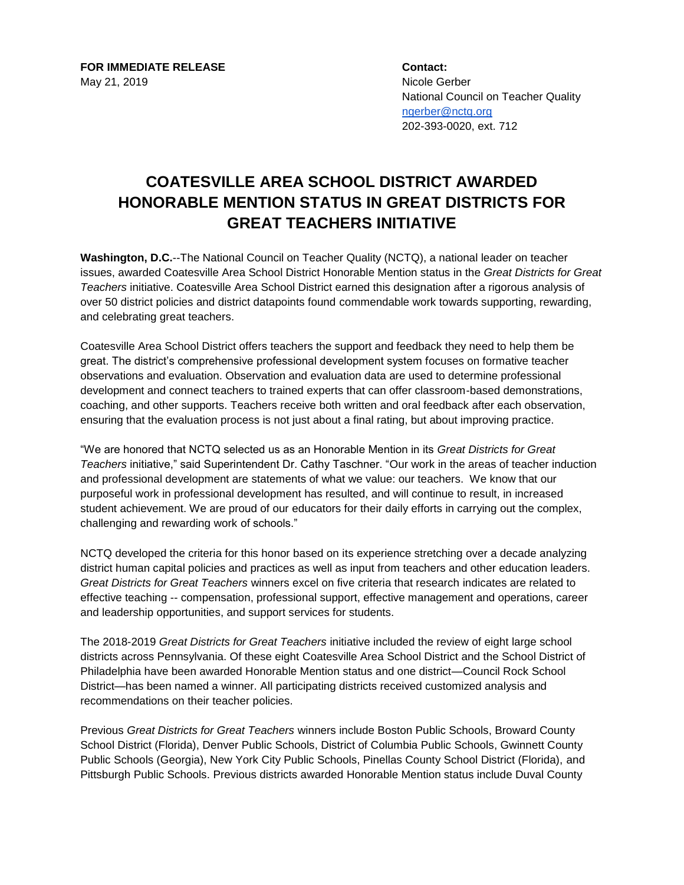**FOR IMMEDIATE RELEASE Contact:** May 21, 2019 Nicole Gerber

National Council on Teacher Quality [ngerber@nctq.org](mailto:ngerber@nctq.org) 202-393-0020, ext. 712

## **COATESVILLE AREA SCHOOL DISTRICT AWARDED HONORABLE MENTION STATUS IN GREAT DISTRICTS FOR GREAT TEACHERS INITIATIVE**

**Washington, D.C.**--The National Council on Teacher Quality (NCTQ), a national leader on teacher issues, awarded Coatesville Area School District Honorable Mention status in the *Great Districts for Great Teachers* initiative. Coatesville Area School District earned this designation after a rigorous analysis of over 50 district policies and district datapoints found commendable work towards supporting, rewarding, and celebrating great teachers.

Coatesville Area School District offers teachers the support and feedback they need to help them be great. The district's comprehensive professional development system focuses on formative teacher observations and evaluation. Observation and evaluation data are used to determine professional development and connect teachers to trained experts that can offer classroom-based demonstrations, coaching, and other supports. Teachers receive both written and oral feedback after each observation, ensuring that the evaluation process is not just about a final rating, but about improving practice.

"We are honored that NCTQ selected us as an Honorable Mention in its *Great Districts for Great Teachers* initiative," said Superintendent Dr. Cathy Taschner. "Our work in the areas of teacher induction and professional development are statements of what we value: our teachers. We know that our purposeful work in professional development has resulted, and will continue to result, in increased student achievement. We are proud of our educators for their daily efforts in carrying out the complex, challenging and rewarding work of schools."

NCTQ developed the criteria for this honor based on its experience stretching over a decade analyzing district human capital policies and practices as well as input from teachers and other education leaders. *Great Districts for Great Teachers* winners excel on five criteria that research indicates are related to effective teaching -- compensation, professional support, effective management and operations, career and leadership opportunities, and support services for students.

The 2018-2019 *Great Districts for Great Teachers* initiative included the review of eight large school districts across Pennsylvania. Of these eight Coatesville Area School District and the School District of Philadelphia have been awarded Honorable Mention status and one district—Council Rock School District—has been named a winner. All participating districts received customized analysis and recommendations on their teacher policies.

Previous *Great Districts for Great Teachers* winners include Boston Public Schools, Broward County School District (Florida), Denver Public Schools, District of Columbia Public Schools, Gwinnett County Public Schools (Georgia), New York City Public Schools, Pinellas County School District (Florida), and Pittsburgh Public Schools. Previous districts awarded Honorable Mention status include Duval County